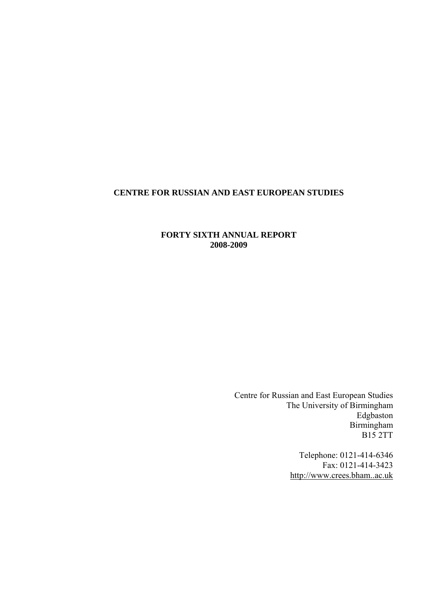# **CENTRE FOR RUSSIAN AND EAST EUROPEAN STUDIES**

## **FORTY SIXTH ANNUAL REPORT 2008-2009**

Centre for Russian and East European Studies The University of Birmingham Edgbaston Birmingham B15 2TT

> Telephone: 0121-414-6346 Fax: 0121-414-3423 [http://www.crees.bham..ac.uk](http://www.crees.bham..ac.uk/)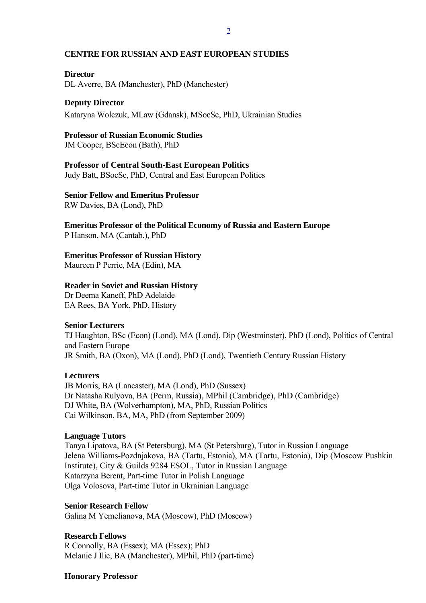#### **CENTRE FOR RUSSIAN AND EAST EUROPEAN STUDIES**

#### **Director**

DL Averre, BA (Manchester), PhD (Manchester)

### **Deputy Director**

Kataryna Wolczuk, MLaw (Gdansk), MSocSc, PhD, Ukrainian Studies

### **Professor of Russian Economic Studies**

JM Cooper, BScEcon (Bath), PhD

### **Professor of Central South-East European Politics**

Judy Batt, BSocSc, PhD, Central and East European Politics

### **Senior Fellow and Emeritus Professor**

RW Davies, BA (Lond), PhD

**Emeritus Professor of the Political Economy of Russia and Eastern Europe** 

P Hanson, MA (Cantab.), PhD

### **Emeritus Professor of Russian History**

Maureen P Perrie, MA (Edin), MA

### **Reader in Soviet and Russian History**

Dr Deema Kaneff, PhD Adelaide EA Rees, BA York, PhD, History

### **Senior Lecturers**

TJ Haughton, BSc (Econ) (Lond), MA (Lond), Dip (Westminster), PhD (Lond), Politics of Central and Eastern Europe JR Smith, BA (Oxon), MA (Lond), PhD (Lond), Twentieth Century Russian History

### **Lecturers**

JB Morris, BA (Lancaster), MA (Lond), PhD (Sussex) Dr Natasha Rulyova, BA (Perm, Russia), MPhil (Cambridge), PhD (Cambridge) DJ White, BA (Wolverhampton), MA, PhD, Russian Politics Cai Wilkinson, BA, MA, PhD (from September 2009)

### **Language Tutors**

Tanya Lipatova, BA (St Petersburg), MA (St Petersburg), Tutor in Russian Language Jelena Williams-Pozdnjakova, BA (Tartu, Estonia), MA (Tartu, Estonia), Dip (Moscow Pushkin Institute), City & Guilds 9284 ESOL, Tutor in Russian Language Katarzyna Berent, Part-time Tutor in Polish Language Olga Volosova, Part-time Tutor in Ukrainian Language

### **Senior Research Fellow**

Galina M Yemelianova, MA (Moscow), PhD (Moscow)

### **Research Fellows**

R Connolly, BA (Essex); MA (Essex); PhD Melanie J Ilic, BA (Manchester), MPhil, PhD (part-time)

### **Honorary Professor**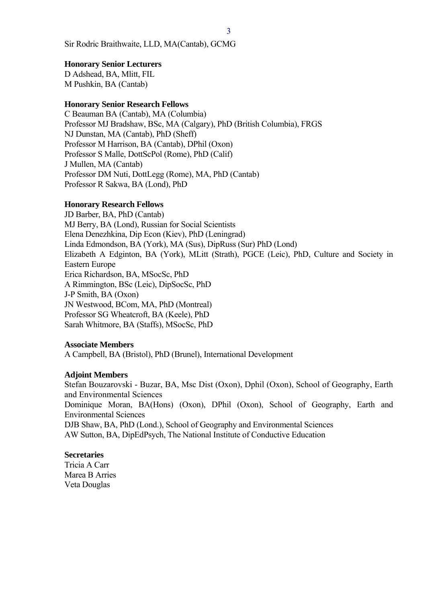Sir Rodric Braithwaite, LLD, MA(Cantab), GCMG

#### **Honorary Senior Lecturers**

D Adshead, BA, Mlitt, FIL M Pushkin, BA (Cantab)

#### **Honorary Senior Research Fellows**

C Beauman BA (Cantab), MA (Columbia) Professor MJ Bradshaw, BSc, MA (Calgary), PhD (British Columbia), FRGS NJ Dunstan, MA (Cantab), PhD (Sheff) Professor M Harrison, BA (Cantab), DPhil (Oxon) Professor S Malle, DottScPol (Rome), PhD (Calif) J Mullen, MA (Cantab) Professor DM Nuti, DottLegg (Rome), MA, PhD (Cantab) Professor R Sakwa, BA (Lond), PhD

#### **Honorary Research Fellows**

JD Barber, BA, PhD (Cantab) MJ Berry, BA (Lond), Russian for Social Scientists Elena Denezhkina, Dip Econ (Kiev), PhD (Leningrad) Linda Edmondson, BA (York), MA (Sus), DipRuss (Sur) PhD (Lond) Elizabeth A Edginton, BA (York), MLitt (Strath), PGCE (Leic), PhD, Culture and Society in Eastern Europe Erica Richardson, BA, MSocSc, PhD A Rimmington, BSc (Leic), DipSocSc, PhD J-P Smith, BA (Oxon) JN Westwood, BCom, MA, PhD (Montreal) Professor SG Wheatcroft, BA (Keele), PhD Sarah Whitmore, BA (Staffs), MSocSc, PhD

#### **Associate Members**

A Campbell, BA (Bristol), PhD (Brunel), International Development

#### **Adjoint Members**

Stefan Bouzarovski - Buzar, BA, Msc Dist (Oxon), Dphil (Oxon), School of Geography, Earth and Environmental Sciences Dominique Moran, BA(Hons) (Oxon), DPhil (Oxon), School of Geography, Earth and Environmental Sciences DJB Shaw, BA, PhD (Lond.), School of Geography and Environmental Sciences AW Sutton, BA, DipEdPsych, The National Institute of Conductive Education

### **Secretaries**

Tricia A Carr Marea B Arries Veta Douglas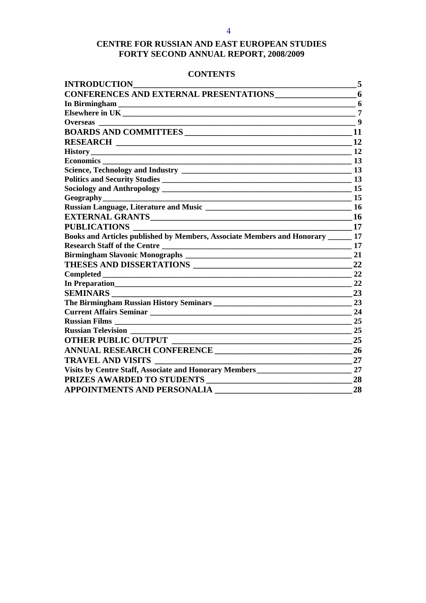# **CENTRE FOR RUSSIAN AND EAST EUROPEAN STUDIES FORTY SECOND ANNUAL REPORT, 2008/2009**

### **CONTENTS**

| <b>INTRODUCTION</b>                                                               | 5         |
|-----------------------------------------------------------------------------------|-----------|
| <b>CONFERENCES AND EXTERNAL PRESENTATIONS</b>                                     | 6         |
| In Birmingham                                                                     | 6         |
|                                                                                   | 7         |
|                                                                                   | 9         |
|                                                                                   | 11        |
|                                                                                   | 12        |
|                                                                                   | 12        |
| <b>Economics</b><br><u> 1980 - Jan Barbara, martin amerikan ba</u>                | 13        |
|                                                                                   | 13        |
|                                                                                   | 13        |
|                                                                                   | 15        |
|                                                                                   | 15        |
|                                                                                   | 16        |
|                                                                                   | <b>16</b> |
| <b>PUBLICATIONS</b>                                                               | 17        |
| Books and Articles published by Members, Associate Members and Honorary ______ 17 |           |
|                                                                                   | 17        |
|                                                                                   | 21        |
| THESES AND DISSERTATIONS                                                          | 22        |
| <b>Completed</b>                                                                  | 22        |
| In Preparation                                                                    | 22        |
| <b>SEMINARS</b>                                                                   | 23        |
|                                                                                   | 23        |
| Current Affairs Seminar<br><u>Land Affairs Seminar</u>                            | 24        |
|                                                                                   | 25        |
| <b>Russian Television</b>                                                         | 25        |
| <b>OTHER PUBLIC OUTPUT</b>                                                        | 25        |
| ANNUAL RESEARCH CONFERENCE                                                        | 26        |
| <b>TRAVEL AND VISITS</b>                                                          | 27        |
| Visits by Centre Staff, Associate and Honorary Members__________________________  | 27        |
| PRIZES AWARDED TO STUDENTS                                                        | 28        |
| <b>APPOINTMENTS AND PERSONALIA</b>                                                | 28        |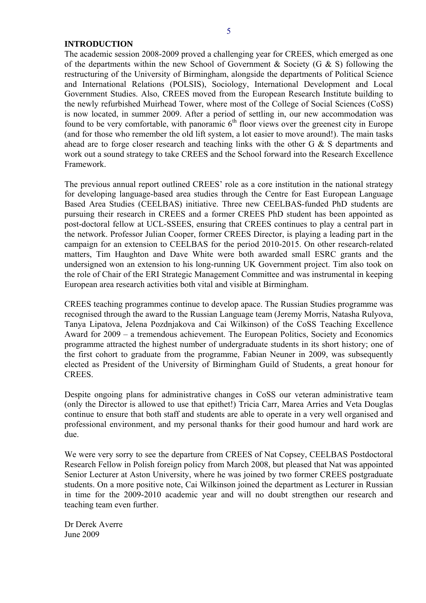#### <span id="page-4-0"></span>**INTRODUCTION**

The academic session 2008-2009 proved a challenging year for CREES, which emerged as one of the departments within the new School of Government & Society (G & S) following the restructuring of the University of Birmingham, alongside the departments of Political Science and International Relations (POLSIS), Sociology, International Development and Local Government Studies. Also, CREES moved from the European Research Institute building to the newly refurbished Muirhead Tower, where most of the College of Social Sciences (CoSS) is now located, in summer 2009. After a period of settling in, our new accommodation was found to be very comfortable, with panoramic  $6<sup>th</sup>$  floor views over the greenest city in Europe (and for those who remember the old lift system, a lot easier to move around!). The main tasks ahead are to forge closer research and teaching links with the other G & S departments and work out a sound strategy to take CREES and the School forward into the Research Excellence Framework.

The previous annual report outlined CREES' role as a core institution in the national strategy for developing language-based area studies through the Centre for East European Language Based Area Studies (CEELBAS) initiative. Three new CEELBAS-funded PhD students are pursuing their research in CREES and a former CREES PhD student has been appointed as post-doctoral fellow at UCL-SSEES, ensuring that CREES continues to play a central part in the network. Professor Julian Cooper, former CREES Director, is playing a leading part in the campaign for an extension to CEELBAS for the period 2010-2015. On other research-related matters, Tim Haughton and Dave White were both awarded small ESRC grants and the undersigned won an extension to his long-running UK Government project. Tim also took on the role of Chair of the ERI Strategic Management Committee and was instrumental in keeping European area research activities both vital and visible at Birmingham.

CREES teaching programmes continue to develop apace. The Russian Studies programme was recognised through the award to the Russian Language team (Jeremy Morris, Natasha Rulyova, Tanya Lipatova, Jelena Pozdnjakova and Cai Wilkinson) of the CoSS Teaching Excellence Award for 2009 – a tremendous achievement. The European Politics, Society and Economics programme attracted the highest number of undergraduate students in its short history; one of the first cohort to graduate from the programme, Fabian Neuner in 2009, was subsequently elected as President of the University of Birmingham Guild of Students, a great honour for **CREES** 

Despite ongoing plans for administrative changes in CoSS our veteran administrative team (only the Director is allowed to use that epithet!) Tricia Carr, Marea Arries and Veta Douglas continue to ensure that both staff and students are able to operate in a very well organised and professional environment, and my personal thanks for their good humour and hard work are due.

We were very sorry to see the departure from CREES of Nat Copsey, CEELBAS Postdoctoral Research Fellow in Polish foreign policy from March 2008, but pleased that Nat was appointed Senior Lecturer at Aston University, where he was joined by two former CREES postgraduate students. On a more positive note, Cai Wilkinson joined the department as Lecturer in Russian in time for the 2009-2010 academic year and will no doubt strengthen our research and teaching team even further.

Dr Derek Averre June 2009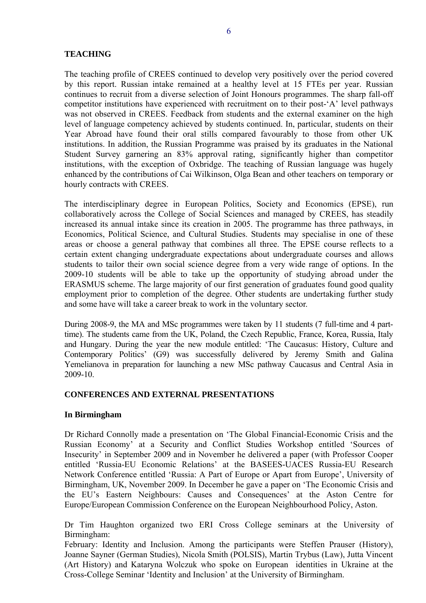# <span id="page-5-0"></span>**TEACHING**

The teaching profile of CREES continued to develop very positively over the period covered by this report. Russian intake remained at a healthy level at 15 FTEs per year. Russian continues to recruit from a diverse selection of Joint Honours programmes. The sharp fall-off competitor institutions have experienced with recruitment on to their post-'A' level pathways was not observed in CREES. Feedback from students and the external examiner on the high level of language competency achieved by students continued. In, particular, students on their Year Abroad have found their oral stills compared favourably to those from other UK institutions. In addition, the Russian Programme was praised by its graduates in the National Student Survey garnering an 83% approval rating, significantly higher than competitor institutions, with the exception of Oxbridge. The teaching of Russian language was hugely enhanced by the contributions of Cai Wilkinson, Olga Bean and other teachers on temporary or hourly contracts with CREES.

The interdisciplinary degree in European Politics, Society and Economics (EPSE), run collaboratively across the College of Social Sciences and managed by CREES, has steadily increased its annual intake since its creation in 2005. The programme has three pathways, in Economics, Political Science, and Cultural Studies. Students may specialise in one of these areas or choose a general pathway that combines all three. The EPSE course reflects to a certain extent changing undergraduate expectations about undergraduate courses and allows students to tailor their own social science degree from a very wide range of options. In the 2009-10 students will be able to take up the opportunity of studying abroad under the ERASMUS scheme. The large majority of our first generation of graduates found good quality employment prior to completion of the degree. Other students are undertaking further study and some have will take a career break to work in the voluntary sector.

During 2008-9, the MA and MSc programmes were taken by 11 students (7 full-time and 4 parttime). The students came from the UK, Poland, the Czech Republic, France, Korea, Russia, Italy and Hungary. During the year the new module entitled: 'The Caucasus: History, Culture and Contemporary Politics' (G9) was successfully delivered by Jeremy Smith and Galina Yemelianova in preparation for launching a new MSc pathway Caucasus and Central Asia in 2009-10.

## **CONFERENCES AND EXTERNAL PRESENTATIONS**

### **In Birmingham**

Dr Richard Connolly made a presentation on 'The Global Financial-Economic Crisis and the Russian Economy' at a Security and Conflict Studies Workshop entitled 'Sources of Insecurity' in September 2009 and in November he delivered a paper (with Professor Cooper entitled 'Russia-EU Economic Relations' at the BASEES-UACES Russia-EU Research Network Conference entitled 'Russia: A Part of Europe or Apart from Europe', University of Birmingham, UK, November 2009. In December he gave a paper on 'The Economic Crisis and the EU's Eastern Neighbours: Causes and Consequences' at the Aston Centre for Europe/European Commission Conference on the European Neighbourhood Policy, Aston.

Dr Tim Haughton organized two ERI Cross College seminars at the University of Birmingham:

February: Identity and Inclusion. Among the participants were [Steffen Prauser \(History\),](http://www.historycultures.bham.ac.uk/staff/prauser.shtml) [Joanne Sayner \(German Studies\),](http://www.german.bham.ac.uk/staff/sayner.shtml) [Nicola Smith \(POLSIS\),](http://www.polsis.bham.ac.uk/about/Staff/Smith.shtml) [Martin Trybus \(Law\),](http://www.iel.bham.ac.uk/about/trybus.shtml) [Jutta Vincent](http://www.historyofart.bham.ac.uk/vinzent.htm)  [\(Art History\)](http://www.historyofart.bham.ac.uk/vinzent.htm) and Kataryna Wolczuk who spoke on European identities in Ukraine at the Cross-College Seminar 'Identity and Inclusion' at the University of Birmingham.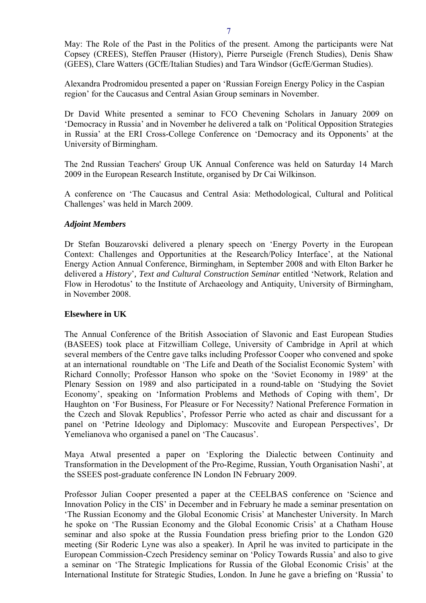<span id="page-6-0"></span>May: The Role of the Past in the Politics of the present. Among the participants were [Nat](http://www.crees.bham.ac.uk/staff/copsey/index.htm)  [Copsey \(CREES\)](http://www.crees.bham.ac.uk/staff/copsey/index.htm), [Steffen Prauser \(History\),](http://www.historycultures.bham.ac.uk/staff/prauser.shtml) [Pierre Purseigle \(French Studies\),](http://www.french.bham.ac.uk/staff/purseigle.shtml) [Denis Shaw](http://www.gees.bham.ac.uk/staff/shawdjb.shtml)  [\(GEES\),](http://www.gees.bham.ac.uk/staff/shawdjb.shtml) Clare Watters (GCfE/Italian Studies) and Tara Windsor (GcfE/German Studies).

Alexandra Prodromidou presented a paper on 'Russian Foreign Energy Policy in the Caspian region' for the Caucasus and Central Asian Group seminars in November.

Dr David White presented a seminar to FCO Chevening Scholars in January 2009 on 'Democracy in Russia' and in November he delivered a talk on 'Political Opposition Strategies in Russia' at the ERI Cross-College Conference on 'Democracy and its Opponents' at the University of Birmingham.

The 2nd Russian Teachers' Group UK Annual Conference was held on Saturday 14 March 2009 in the European Research Institute, organised by Dr Cai Wilkinson.

A conference on '[The Caucasus and Central Asia: Methodological, Cultural and Political](http://www.crees.bham.ac.uk/events/Caucasus_Conf.doc)  [Challenges](http://www.crees.bham.ac.uk/events/Caucasus_Conf.doc)' was held in March 2009.

### *Adjoint Members*

Dr Stefan Bouzarovski delivered a plenary speech on 'Energy Poverty in the European Context: Challenges and Opportunities at the Research/Policy Interface', at the National Energy Action Annual Conference, Birmingham, in September 2008 and with Elton Barker he delivered a *History*'*, Text and Cultural Construction Seminar* entitled 'Network, Relation and Flow in Herodotus' to the Institute of Archaeology and Antiquity, University of Birmingham, in November 2008.

### **Elsewhere in UK**

The Annual Conference of the British Association of Slavonic and East European Studies (BASEES) took place at Fitzwilliam College, University of Cambridge in April at which several members of the Centre gave talks including Professor Cooper who convened and spoke at an international roundtable on 'The Life and Death of the Socialist Economic System' with Richard Connolly; Professor Hanson who spoke on the 'Soviet Economy in 1989' at the Plenary Session on 1989 and also participated in a round-table on 'Studying the Soviet Economy', speaking on 'Information Problems and Methods of Coping with them', Dr Haughton on 'For Business, For Pleasure or For Necessity? National Preference Formation in the Czech and Slovak Republics', Professor Perrie who acted as chair and discussant for a panel on 'Petrine Ideology and Diplomacy: Muscovite and European Perspectives', Dr Yemelianova who organised a panel on 'The Caucasus'.

Maya Atwal presented a paper on 'Exploring the Dialectic between Continuity and Transformation in the Development of the Pro-Regime, Russian, Youth Organisation Nashi', at the SSEES post-graduate conference IN London IN February 2009.

Professor Julian Cooper presented a paper at the CEELBAS conference on 'Science and Innovation Policy in the CIS' in December and in February he made a seminar presentation on 'The Russian Economy and the Global Economic Crisis' at Manchester University. In March he spoke on 'The Russian Economy and the Global Economic Crisis' at a Chatham House seminar and also spoke at the Russia Foundation press briefing prior to the London G20 meeting (Sir Roderic Lyne was also a speaker). In April he was invited to participate in the European Commission-Czech Presidency seminar on 'Policy Towards Russia' and also to give a seminar on 'The Strategic Implications for Russia of the Global Economic Crisis' at the International Institute for Strategic Studies, London. In June he gave a briefing on 'Russia' to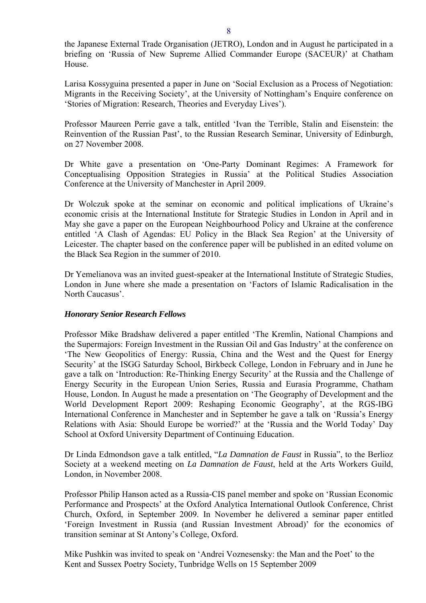the Japanese External Trade Organisation (JETRO), London and in August he participated in a briefing on 'Russia of New Supreme Allied Commander Europe (SACEUR)' at Chatham House.

Larisa Kossyguina presented a paper in June on 'Social Exclusion as a Process of Negotiation: Migrants in the Receiving Society', at the University of Nottingham's Enquire conference on 'Stories of Migration: Research, Theories and Everyday Lives').

Professor Maureen Perrie gave a talk, entitled 'Ivan the Terrible, Stalin and Eisenstein: the Reinvention of the Russian Past', to the Russian Research Seminar, University of Edinburgh, on 27 November 2008.

Dr White gave a presentation on 'One-Party Dominant Regimes: A Framework for Conceptualising Opposition Strategies in Russia' at the Political Studies Association Conference at the University of Manchester in April 2009.

Dr Wolczuk spoke at the seminar on economic and political implications of Ukraine's economic crisis at the International Institute for Strategic Studies in London in April and in May she gave a paper on the European Neighbourhood Policy and Ukraine at the conference entitled 'A Clash of Agendas: EU Policy in the Black Sea Region' at the University of Leicester. The chapter based on the conference paper will be published in an edited volume on the Black Sea Region in the summer of 2010.

Dr Yemelianova was an invited guest-speaker at the International Institute of Strategic Studies, London in June where she made a presentation on 'Factors of Islamic Radicalisation in the North Caucasus'.

### *Honorary Senior Research Fellows*

Professor Mike Bradshaw delivered a paper entitled 'The Kremlin, National Champions and the Supermajors: Foreign Investment in the Russian Oil and Gas Industry' at the conference on 'The New Geopolitics of Energy: Russia, China and the West and the Quest for Energy Security' at the ISGG Saturday School, Birkbeck College, London in February and in June he gave a talk on 'Introduction: Re-Thinking Energy Security' at the Russia and the Challenge of Energy Security in the European Union Series, Russia and Eurasia Programme, Chatham House, London. In August he made a presentation on 'The Geography of Development and the World Development Report 2009: Reshaping Economic Geography', at the RGS-IBG International Conference in Manchester and in September he gave a talk on 'Russia's Energy Relations with Asia: Should Europe be worried?' at the 'Russia and the World Today' Day School at Oxford University Department of Continuing Education.

Dr Linda Edmondson gave a talk entitled, "*La Damnation de Faust* in Russia", to the Berlioz Society at a weekend meeting on *La Damnation de Faust*, held at the Arts Workers Guild, London, in November 2008.

Professor Philip Hanson acted as a Russia-CIS panel member and spoke on 'Russian Economic Performance and Prospects' at the Oxford Analytica International Outlook Conference, Christ Church, Oxford, in September 2009. In November he delivered a seminar paper entitled 'Foreign Investment in Russia (and Russian Investment Abroad)' for the economics of transition seminar at St Antony's College, Oxford.

Mike Pushkin was invited to speak on 'Andrei Voznesensky: the Man and the Poet' to the Kent and Sussex Poetry Society, Tunbridge Wells on 15 September 2009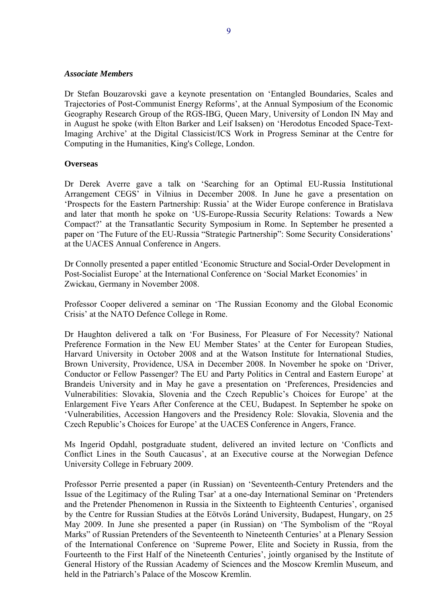#### <span id="page-8-0"></span>*Associate Members*

Dr Stefan Bouzarovski gave a keynote presentation on 'Entangled Boundaries, Scales and Trajectories of Post-Communist Energy Reforms', at the Annual Symposium of the Economic Geography Research Group of the RGS-IBG, Queen Mary, University of London IN May and in August he spoke (with Elton Barker and Leif Isaksen) on 'Herodotus Encoded Space-Text-Imaging Archive' at the Digital Classicist/ICS Work in Progress Seminar at the Centre for Computing in the Humanities, King's College, London.

### **Overseas**

Dr Derek Averre gave a talk on 'Searching for an Optimal EU-Russia Institutional Arrangement CEGS' in Vilnius in December 2008. In June he gave a presentation on 'Prospects for the Eastern Partnership: Russia' at the Wider Europe conference in Bratislava and later that month he spoke on 'US-Europe-Russia Security Relations: Towards a New Compact?' at the Transatlantic Security Symposium in Rome. In September he presented a paper on 'The Future of the EU-Russia "Strategic Partnership": Some Security Considerations' at the UACES Annual Conference in Angers.

Dr Connolly presented a paper entitled 'Economic Structure and Social-Order Development in Post-Socialist Europe' at the International Conference on 'Social Market Economies' in Zwickau, Germany in November 2008.

Professor Cooper delivered a seminar on 'The Russian Economy and the Global Economic Crisis' at the NATO Defence College in Rome.

Dr Haughton delivered a talk on 'For Business, For Pleasure of For Necessity? National Preference Formation in the New EU Member States' at the Center for European Studies, Harvard University in October 2008 and at the Watson Institute for International Studies, Brown University, Providence, USA in December 2008. In November he spoke on 'Driver, Conductor or Fellow Passenger? The EU and Party Politics in Central and Eastern Europe' at Brandeis University and in May he gave a presentation on 'Preferences, Presidencies and Vulnerabilities: Slovakia, Slovenia and the Czech Republic's Choices for Europe' at the Enlargement Five Years After Conference at the CEU, Budapest. In September he spoke on 'Vulnerabilities, Accession Hangovers and the Presidency Role: Slovakia, Slovenia and the Czech Republic's Choices for Europe' at the UACES Conference in Angers, France.

Ms Ingerid Opdahl, postgraduate student, delivered an invited lecture on 'Conflicts and Conflict Lines in the South Caucasus', at an Executive course at the Norwegian Defence University College in February 2009.

Professor Perrie presented a paper (in Russian) on 'Seventeenth-Century Pretenders and the Issue of the Legitimacy of the Ruling Tsar' at a one-day International Seminar on 'Pretenders and the Pretender Phenomenon in Russia in the Sixteenth to Eighteenth Centuries', organised by the Centre for Russian Studies at the Eötvös Loránd University, Budapest, Hungary, on 25 May 2009. In June she presented a paper (in Russian) on 'The Symbolism of the "Royal Marks" of Russian Pretenders of the Seventeenth to Nineteenth Centuries' at a Plenary Session of the International Conference on 'Supreme Power, Elite and Society in Russia, from the Fourteenth to the First Half of the Nineteenth Centuries', jointly organised by the Institute of General History of the Russian Academy of Sciences and the Moscow Kremlin Museum, and held in the Patriarch's Palace of the Moscow Kremlin.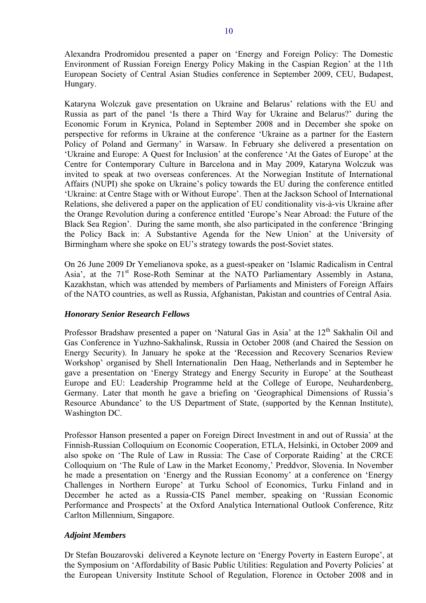Alexandra Prodromidou presented a paper on 'Energy and Foreign Policy: The Domestic Environment of Russian Foreign Energy Policy Making in the Caspian Region' at the 11th European Society of Central Asian Studies conference in September 2009, CEU, Budapest, Hungary.

Kataryna Wolczuk gave presentation on Ukraine and Belarus' relations with the EU and Russia as part of the panel 'Is there a Third Way for Ukraine and Belarus?' during the Economic Forum in Krynica, Poland in September 2008 and in December she spoke on perspective for reforms in Ukraine at the conference 'Ukraine as a partner for the Eastern Policy of Poland and Germany' in Warsaw. In February she delivered a presentation on 'Ukraine and Europe: A Quest for Inclusion' at the conference 'At the Gates of Europe' at the Centre for Contemporary Culture in Barcelona and in May 2009, Kataryna Wolczuk was invited to speak at two overseas conferences. At the Norwegian Institute of International Affairs (NUPI) she spoke on Ukraine's policy towards the EU during the conference entitled 'Ukraine: at Centre Stage with or Without Europe'. Then at the Jackson School of International Relations, she delivered a paper on the application of EU conditionality vis-à-vis Ukraine after the Orange Revolution during a conference entitled 'Europe's Near Abroad: the Future of the Black Sea Region'. During the same month, she also participated in the conference 'Bringing the Policy Back in: A Substantive Agenda for the New Union' at the University of Birmingham where she spoke on EU's strategy towards the post-Soviet states.

On 26 June 2009 Dr Yemelianova spoke, as a guest-speaker on 'Islamic Radicalism in Central Asia', at the 71<sup>st</sup> Rose-Roth Seminar at the NATO Parliamentary Assembly in Astana, Kazakhstan, which was attended by members of Parliaments and Ministers of Foreign Affairs of the NATO countries, as well as Russia, Afghanistan, Pakistan and countries of Central Asia.

### *Honorary Senior Research Fellows*

Professor Bradshaw presented a paper on 'Natural Gas in Asia' at the  $12<sup>th</sup>$  Sakhalin Oil and Gas Conference in Yuzhno-Sakhalinsk, Russia in October 2008 (and Chaired the Session on Energy Security). In January he spoke at the 'Recession and Recovery Scenarios Review Workshop' organised by Shell Internationalin Den Haag, Netherlands and in September he gave a presentation on 'Energy Strategy and Energy Security in Europe' at the Southeast Europe and EU: Leadership Programme held at the College of Europe, Neuhardenberg, Germany. Later that month he gave a briefing on 'Geographical Dimensions of Russia's Resource Abundance' to the US Department of State, (supported by the Kennan Institute), Washington DC.

Professor Hanson presented a paper on Foreign Direct Investment in and out of Russia' at the Finnish-Russian Colloquium on Economic Cooperation, ETLA, Helsinki, in October 2009 and also spoke on 'The Rule of Law in Russia: The Case of Corporate Raiding' at the CRCE Colloquium on 'The Rule of Law in the Market Economy,' Preddvor, Slovenia. In November he made a presentation on 'Energy and the Russian Economy' at a conference on 'Energy Challenges in Northern Europe' at Turku School of Economics, Turku Finland and in December he acted as a Russia-CIS Panel member, speaking on 'Russian Economic Performance and Prospects' at the Oxford Analytica International Outlook Conference, Ritz Carlton Millennium, Singapore.

### *Adjoint Members*

Dr Stefan Bouzarovski delivered a Keynote lecture on 'Energy Poverty in Eastern Europe', at the Symposium on 'Affordability of Basic Public Utilities: Regulation and Poverty Policies' at the European University Institute School of Regulation, Florence in October 2008 and in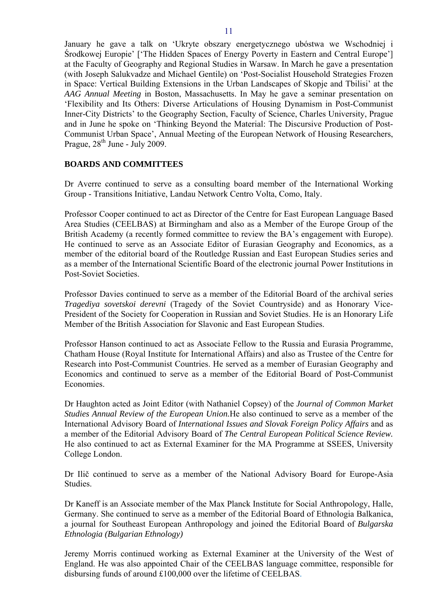<span id="page-10-0"></span>January he gave a talk on 'Ukryte obszary energetycznego ubóstwa we Wschodniej i Środkowej Europie' ['The Hidden Spaces of Energy Poverty in Eastern and Central Europe'] at the Faculty of Geography and Regional Studies in Warsaw. In March he gave a presentation (with Joseph Salukvadze and Michael Gentile) on 'Post-Socialist Household Strategies Frozen in Space: Vertical Building Extensions in the Urban Landscapes of Skopje and Tbilisi' at the *AAG Annual Meeting* in Boston, Massachusetts. In May he gave a seminar presentation on 'Flexibility and Its Others: Diverse Articulations of Housing Dynamism in Post-Communist Inner-City Districts' to the Geography Section, Faculty of Science, Charles University, Prague and in June he spoke on 'Thinking Beyond the Material: The Discursive Production of Post-Communist Urban Space', Annual Meeting of the European Network of Housing Researchers, Prague,  $28^{th}$  June - July 2009.

### **BOARDS AND COMMITTEES**

Dr Averre continued to serve as a consulting board member of the International Working Group - Transitions Initiative, Landau Network Centro Volta, Como, Italy.

Professor Cooper continued to act as Director of the Centre for East European Language Based Area Studies (CEELBAS) at Birmingham and also as a Member of the Europe Group of the British Academy (a recently formed committee to review the BA's engagement with Europe). He continued to serve as an Associate Editor of Eurasian Geography and Economics, as a member of the editorial board of the Routledge Russian and East European Studies series and as a member of the International Scientific Board of the electronic journal Power Institutions in Post-Soviet Societies.

Professor Davies continued to serve as a member of the Editorial Board of the archival series *Tragediya sovetskoi derevni* (Tragedy of the Soviet Countryside) and as Honorary Vice-President of the Society for Cooperation in Russian and Soviet Studies. He is an Honorary Life Member of the British Association for Slavonic and East European Studies.

Professor Hanson continued to act as Associate Fellow to the Russia and Eurasia Programme, Chatham House (Royal Institute for International Affairs) and also as Trustee of the Centre for Research into Post-Communist Countries. He served as a member of Eurasian Geography and Economics and continued to serve as a member of the Editorial Board of Post-Communist Economies.

Dr Haughton acted as Joint Editor (with Nathaniel Copsey) of the *Journal of Common Market Studies Annual Review of the European Union.*He also continued to serve as a member of the International Advisory Board of *International Issues and Slovak Foreign Policy Affairs* and as a member of the Editorial Advisory Board of *The Central European Political Science Review.* He also continued to act as External Examiner for the MA Programme at SSEES, University College London.

Dr Ilič continued to serve as a member of the National Advisory Board for Europe-Asia Studies.

Dr Kaneff is an Associate member of the Max Planck Institute for Social Anthropology, Halle, Germany. She continued to serve as a member of the Editorial Board of Ethnologia Balkanica, a journal for Southeast European Anthropology and joined the Editorial Board of *Bulgarska Ethnologia (Bulgarian Ethnology)* 

Jeremy Morris continued working as External Examiner at the University of the West of England. He was also appointed Chair of the CEELBAS language committee, responsible for disbursing funds of around £100,000 over the lifetime of CEELBAS.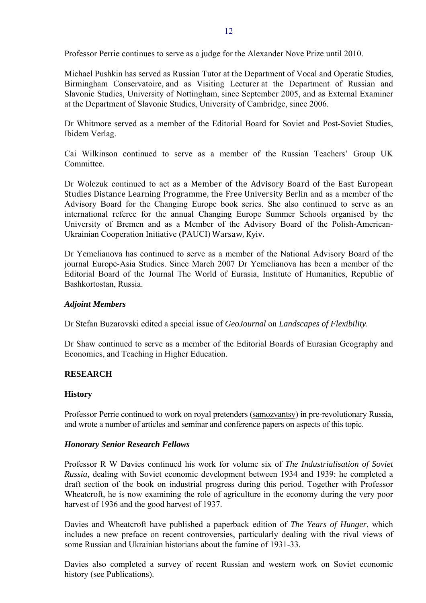<span id="page-11-0"></span>Professor Perrie continues to serve as a judge for the Alexander Nove Prize until 2010.

Michael Pushkin has served as Russian Tutor at the Department of Vocal and Operatic Studies, Birmingham Conservatoire, and as Visiting Lecturer at the Department of Russian and Slavonic Studies, University of Nottingham, since September 2005, and as External Examiner at the Department of Slavonic Studies, University of Cambridge, since 2006.

Dr Whitmore served as a member of the Editorial Board for Soviet and Post-Soviet Studies, Ibidem Verlag.

Cai Wilkinson continued to serve as a member of the Russian Teachers' Group UK **Committee** 

Dr Wolczuk continued to act as a Member of the Advisory Board of the East European Studies Distance Learning Programme, the Free University Berlin and as a member of the Advisory Board for the Changing Europe book series. She also continued to serve as an international referee for the annual Changing Europe Summer Schools organised by the University of Bremen and as a Member of the Advisory Board of the Polish-American-Ukrainian Cooperation Initiative (PAUCI) Warsaw, Kyiv.

Dr Yemelianova has continued to serve as a member of the National Advisory Board of the journal Europe-Asia Studies. Since March 2007 Dr Yemelianova has been a member of the Editorial Board of the Journal The World of Eurasia, Institute of Humanities, Republic of Bashkortostan, Russia.

#### *Adjoint Members*

Dr Stefan Buzarovski edited a special issue of *GeoJournal* on *Landscapes of Flexibility.* 

Dr Shaw continued to serve as a member of the Editorial Boards of Eurasian Geography and Economics, and Teaching in Higher Education.

### **RESEARCH**

#### **History**

Professor Perrie continued to work on royal pretenders (samozvantsy) in pre-revolutionary Russia, and wrote a number of articles and seminar and conference papers on aspects of this topic.

#### *Honorary Senior Research Fellows*

Professor R W Davies continued his work for volume six of *The Industrialisation of Soviet Russia,* dealing with Soviet economic development between 1934 and 1939: he completed a draft section of the book on industrial progress during this period. Together with Professor Wheatcroft, he is now examining the role of agriculture in the economy during the very poor harvest of 1936 and the good harvest of 1937.

Davies and Wheatcroft have published a paperback edition of *The Years of Hunger*, which includes a new preface on recent controversies, particularly dealing with the rival views of some Russian and Ukrainian historians about the famine of 1931-33.

Davies also completed a survey of recent Russian and western work on Soviet economic history (see Publications).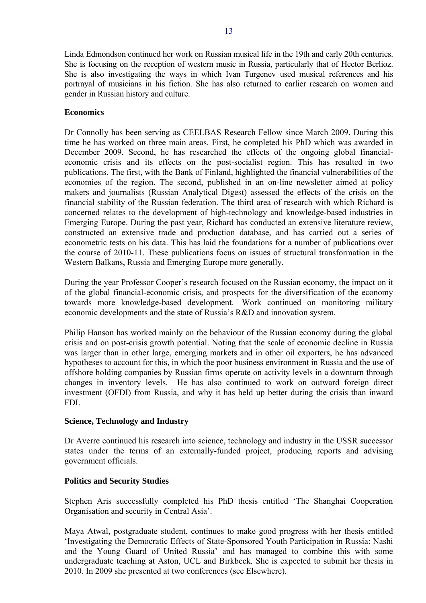<span id="page-12-0"></span>Linda Edmondson continued her work on Russian musical life in the 19th and early 20th centuries. She is focusing on the reception of western music in Russia, particularly that of Hector Berlioz. She is also investigating the ways in which Ivan Turgenev used musical references and his portrayal of musicians in his fiction. She has also returned to earlier research on women and gender in Russian history and culture.

### **Economics**

Dr Connolly has been serving as CEELBAS Research Fellow since March 2009. During this time he has worked on three main areas. First, he completed his PhD which was awarded in December 2009. Second, he has researched the effects of the ongoing global financialeconomic crisis and its effects on the post-socialist region. This has resulted in two publications. The first, with the Bank of Finland, highlighted the financial vulnerabilities of the economies of the region. The second, published in an on-line newsletter aimed at policy makers and journalists (Russian Analytical Digest) assessed the effects of the crisis on the financial stability of the Russian federation. The third area of research with which Richard is concerned relates to the development of high-technology and knowledge-based industries in Emerging Europe. During the past year, Richard has conducted an extensive literature review, constructed an extensive trade and production database, and has carried out a series of econometric tests on his data. This has laid the foundations for a number of publications over the course of 2010-11. These publications focus on issues of structural transformation in the Western Balkans, Russia and Emerging Europe more generally.

During the year Professor Cooper's research focused on the Russian economy, the impact on it of the global financial-economic crisis, and prospects for the diversification of the economy towards more knowledge-based development. Work continued on monitoring military economic developments and the state of Russia's R&D and innovation system.

Philip Hanson has worked mainly on the behaviour of the Russian economy during the global crisis and on post-crisis growth potential. Noting that the scale of economic decline in Russia was larger than in other large, emerging markets and in other oil exporters, he has advanced hypotheses to account for this, in which the poor business environment in Russia and the use of offshore holding companies by Russian firms operate on activity levels in a downturn through changes in inventory levels. He has also continued to work on outward foreign direct investment (OFDI) from Russia, and why it has held up better during the crisis than inward FDI.

### **Science, Technology and Industry**

Dr Averre continued his research into science, technology and industry in the USSR successor states under the terms of an externally-funded project, producing reports and advising government officials.

### **Politics and Security Studies**

Stephen Aris successfully completed his PhD thesis entitled 'The Shanghai Cooperation Organisation and security in Central Asia'.

Maya Atwal, postgraduate student, continues to make good progress with her thesis entitled 'Investigating the Democratic Effects of State-Sponsored Youth Participation in Russia: Nashi and the Young Guard of United Russia' and has managed to combine this with some undergraduate teaching at Aston, UCL and Birkbeck. She is expected to submit her thesis in 2010. In 2009 she presented at two conferences (see Elsewhere).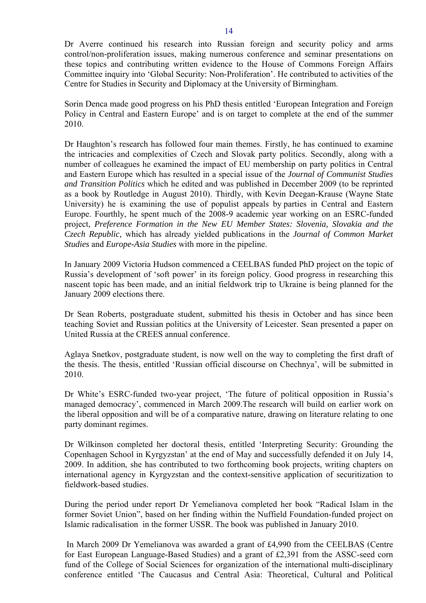Dr Averre continued his research into Russian foreign and security policy and arms control/non-proliferation issues, making numerous conference and seminar presentations on these topics and contributing written evidence to the House of Commons Foreign Affairs Committee inquiry into 'Global Security: Non-Proliferation'. He contributed to activities of the Centre for Studies in Security and Diplomacy at the University of Birmingham.

Sorin Denca made good progress on his PhD thesis entitled 'European Integration and Foreign Policy in Central and Eastern Europe' and is on target to complete at the end of the summer 2010.

Dr Haughton's research has followed four main themes. Firstly, he has continued to examine the intricacies and complexities of Czech and Slovak party politics. Secondly, along with a number of colleagues he examined the impact of EU membership on party politics in Central and Eastern Europe which has resulted in a special issue of the *Journal of Communist Studies and Transition Politics* which he edited and was published in December 2009 (to be reprinted as a book by Routledge in August 2010). Thirdly, with Kevin Deegan-Krause (Wayne State University) he is examining the use of populist appeals by parties in Central and Eastern Europe. Fourthly, he spent much of the 2008-9 academic year working on an ESRC-funded project, *Preference Formation in the New EU Member States: Slovenia, Slovakia and the Czech Republic,* which has already yielded publications in the *Journal of Common Market Studies* and *Europe-Asia Studies* with more in the pipeline.

In January 2009 Victoria Hudson commenced a CEELBAS funded PhD project on the topic of Russia's development of 'soft power' in its foreign policy. Good progress in researching this nascent topic has been made, and an initial fieldwork trip to Ukraine is being planned for the January 2009 elections there.

Dr Sean Roberts, postgraduate student, submitted his thesis in October and has since been teaching Soviet and Russian politics at the University of Leicester. Sean presented a paper on United Russia at the CREES annual conference.

Aglaya Snetkov, postgraduate student, is now well on the way to completing the first draft of the thesis. The thesis, entitled 'Russian official discourse on Chechnya', will be submitted in 2010.

Dr White's ESRC-funded two-year project, 'The future of political opposition in Russia's managed democracy', commenced in March 2009.The research will build on earlier work on the liberal opposition and will be of a comparative nature, drawing on literature relating to one party dominant regimes.

Dr Wilkinson completed her doctoral thesis, entitled 'Interpreting Security: Grounding the Copenhagen School in Kyrgyzstan' at the end of May and successfully defended it on July 14, 2009. In addition, she has contributed to two forthcoming book projects, writing chapters on international agency in Kyrgyzstan and the context-sensitive application of securitization to fieldwork-based studies.

During the period under report Dr Yemelianova completed her book "Radical Islam in the former Soviet Union", based on her finding within the Nuffield Foundation-funded project on Islamic radicalisation in the former USSR. The book was published in January 2010.

 In March 2009 Dr Yemelianova was awarded a grant of £4,990 from the CEELBAS (Centre for East European Language-Based Studies) and a grant of £2,391 from the ASSC-seed corn fund of the College of Social Sciences for organization of the international multi-disciplinary conference entitled 'The Caucasus and Central Asia: Theoretical, Cultural and Political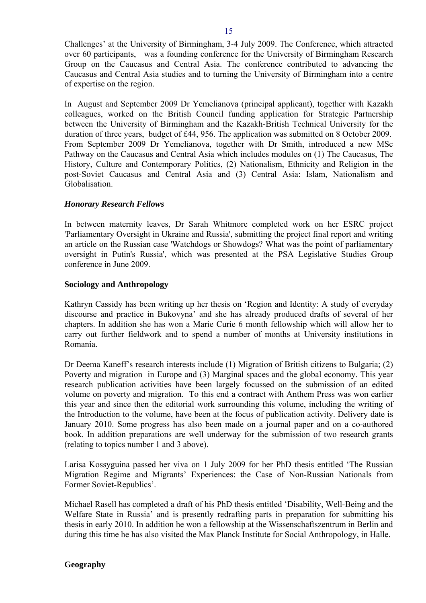<span id="page-14-0"></span>Challenges' at the University of Birmingham, 3-4 July 2009. The Conference, which attracted over 60 participants, was a founding conference for the University of Birmingham Research Group on the Caucasus and Central Asia. The conference contributed to advancing the Caucasus and Central Asia studies and to turning the University of Birmingham into a centre of expertise on the region.

In August and September 2009 Dr Yemelianova (principal applicant), together with Kazakh colleagues, worked on the British Council funding application for Strategic Partnership between the University of Birmingham and the Kazakh-British Technical University for the duration of three years, budget of £44, 956. The application was submitted on 8 October 2009. From September 2009 Dr Yemelianova, together with Dr Smith, introduced a new MSc Pathway on the Caucasus and Central Asia which includes modules on (1) The Caucasus, The History, Culture and Contemporary Politics, (2) Nationalism, Ethnicity and Religion in the post-Soviet Caucasus and Central Asia and (3) Central Asia: Islam, Nationalism and Globalisation.

### *Honorary Research Fellows*

In between maternity leaves, Dr Sarah Whitmore completed work on her ESRC project 'Parliamentary Oversight in Ukraine and Russia', submitting the project final report and writing an article on the Russian case 'Watchdogs or Showdogs? What was the point of parliamentary oversight in Putin's Russia', which was presented at the PSA Legislative Studies Group conference in June 2009.

#### **Sociology and Anthropology**

Kathryn Cassidy has been writing up her thesis on 'Region and Identity: A study of everyday discourse and practice in Bukovyna' and she has already produced drafts of several of her chapters. In addition she has won a Marie Curie 6 month fellowship which will allow her to carry out further fieldwork and to spend a number of months at University institutions in Romania.

Dr Deema Kaneff's research interests include (1) Migration of British citizens to Bulgaria; (2) Poverty and migration in Europe and (3) Marginal spaces and the global economy. This year research publication activities have been largely focussed on the submission of an edited volume on poverty and migration. To this end a contract with Anthem Press was won earlier this year and since then the editorial work surrounding this volume, including the writing of the Introduction to the volume, have been at the focus of publication activity. Delivery date is January 2010. Some progress has also been made on a journal paper and on a co-authored book. In addition preparations are well underway for the submission of two research grants (relating to topics number 1 and 3 above).

Larisa Kossyguina passed her viva on 1 July 2009 for her PhD thesis entitled 'The Russian Migration Regime and Migrants' Experiences: the Case of Non-Russian Nationals from Former Soviet-Republics'.

Michael Rasell has completed a draft of his PhD thesis entitled 'Disability, Well-Being and the Welfare State in Russia' and is presently redrafting parts in preparation for submitting his thesis in early 2010. In addition he won a fellowship at the Wissenschaftszentrum in Berlin and during this time he has also visited the Max Planck Institute for Social Anthropology, in Halle.

## **Geography**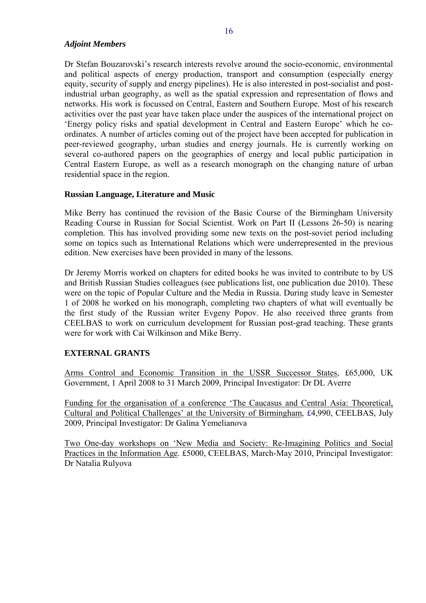### <span id="page-15-0"></span>*Adjoint Members*

Dr Stefan Bouzarovski's research interests revolve around the socio-economic, environmental and political aspects of energy production, transport and consumption (especially energy equity, security of supply and energy pipelines). He is also interested in post-socialist and postindustrial urban geography, as well as the spatial expression and representation of flows and networks. His work is focussed on Central, Eastern and Southern Europe. Most of his research activities over the past year have taken place under the auspices of the international project on 'Energy policy risks and spatial development in Central and Eastern Europe' which he coordinates. A number of articles coming out of the project have been accepted for publication in peer-reviewed geography, urban studies and energy journals. He is currently working on several co-authored papers on the geographies of energy and local public participation in Central Eastern Europe, as well as a research monograph on the changing nature of urban residential space in the region.

### **Russian Language, Literature and Music**

Mike Berry has continued the revision of the Basic Course of the Birmingham University Reading Course in Russian for Social Scientist. Work on Part II (Lessons 26-50) is nearing completion. This has involved providing some new texts on the post-soviet period including some on topics such as International Relations which were underrepresented in the previous edition. New exercises have been provided in many of the lessons.

Dr Jeremy Morris worked on chapters for edited books he was invited to contribute to by US and British Russian Studies colleagues (see publications list, one publication due 2010). These were on the topic of Popular Culture and the Media in Russia. During study leave in Semester 1 of 2008 he worked on his monograph, completing two chapters of what will eventually be the first study of the Russian writer Evgeny Popov. He also received three grants from CEELBAS to work on curriculum development for Russian post-grad teaching. These grants were for work with Cai Wilkinson and Mike Berry.

### **EXTERNAL GRANTS**

Arms Control and Economic Transition in the USSR Successor States, £65,000, UK Government, 1 April 2008 to 31 March 2009, Principal Investigator: Dr DL Averre

Funding for the organisation of a conference 'The Caucasus and Central Asia: Theoretical, Cultural and Political Challenges' at the University of Birmingham, £4,990, CEELBAS, July 2009, Principal Investigator: Dr Galina Yemelianova

Two One-day workshops on 'New Media and Society: Re-Imagining Politics and Social Practices in the Information Age. £5000, CEELBAS, March-May 2010, Principal Investigator: Dr Natalia Rulyova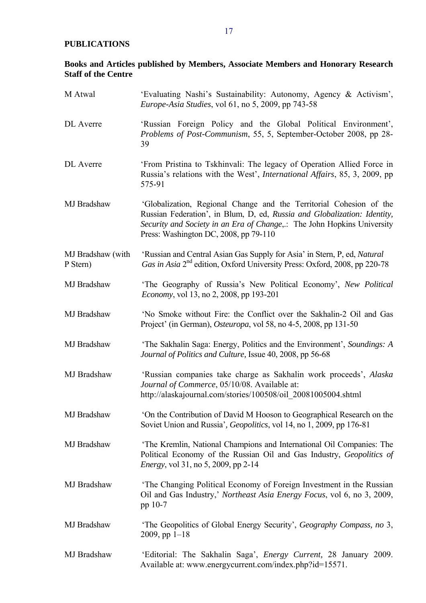### <span id="page-16-0"></span>**PUBLICATIONS**

# **Books and Articles published by Members, Associate Members and Honorary Research Staff of the Centre**

| M Atwal                       | 'Evaluating Nashi's Sustainability: Autonomy, Agency & Activism',<br><i>Europe-Asia Studies, vol 61, no 5, 2009, pp 743-58</i>                                                                                                                                      |
|-------------------------------|---------------------------------------------------------------------------------------------------------------------------------------------------------------------------------------------------------------------------------------------------------------------|
| DL Averre                     | 'Russian Foreign Policy and the Global Political Environment',<br>Problems of Post-Communism, 55, 5, September-October 2008, pp 28-<br>39                                                                                                                           |
| DL Averre                     | 'From Pristina to Tskhinvali: The legacy of Operation Allied Force in<br>Russia's relations with the West', <i>International Affairs</i> , 85, 3, 2009, pp<br>575-91                                                                                                |
| MJ Bradshaw                   | 'Globalization, Regional Change and the Territorial Cohesion of the<br>Russian Federation', in Blum, D, ed, Russia and Globalization: Identity,<br>Security and Society in an Era of Change,.: The John Hopkins University<br>Press: Washington DC, 2008, pp 79-110 |
| MJ Bradshaw (with<br>P Stern) | 'Russian and Central Asian Gas Supply for Asia' in Stern, P, ed, Natural<br>Gas in Asia 2 <sup>nd</sup> edition, Oxford University Press: Oxford, 2008, pp 220-78                                                                                                   |
| MJ Bradshaw                   | 'The Geography of Russia's New Political Economy', New Political<br><i>Economy</i> , vol 13, no 2, 2008, pp 193-201                                                                                                                                                 |
| MJ Bradshaw                   | 'No Smoke without Fire: the Conflict over the Sakhalin-2 Oil and Gas<br>Project' (in German), Osteuropa, vol 58, no 4-5, 2008, pp 131-50                                                                                                                            |
| MJ Bradshaw                   | 'The Sakhalin Saga: Energy, Politics and the Environment', Soundings: A<br>Journal of Politics and Culture, Issue 40, 2008, pp 56-68                                                                                                                                |
| MJ Bradshaw                   | 'Russian companies take charge as Sakhalin work proceeds', Alaska<br>Journal of Commerce, 05/10/08. Available at:<br>http://alaskajournal.com/stories/100508/oil 20081005004.shtml                                                                                  |
| MJ Bradshaw                   | On the Contribution of David M Hooson to Geographical Research on the<br>Soviet Union and Russia', Geopolitics, vol 14, no 1, 2009, pp 176-81                                                                                                                       |
| MJ Bradshaw                   | 'The Kremlin, National Champions and International Oil Companies: The<br>Political Economy of the Russian Oil and Gas Industry, Geopolitics of<br><i>Energy</i> , vol 31, no 5, 2009, pp 2-14                                                                       |
| MJ Bradshaw                   | The Changing Political Economy of Foreign Investment in the Russian<br>Oil and Gas Industry,' Northeast Asia Energy Focus, vol 6, no 3, 2009,<br>pp 10-7                                                                                                            |
| MJ Bradshaw                   | 'The Geopolitics of Global Energy Security', Geography Compass, no 3,<br>$2009$ , pp $1-18$                                                                                                                                                                         |
| MJ Bradshaw                   | 'Editorial: The Sakhalin Saga', <i>Energy Current</i> , 28 January 2009.<br>Available at: www.energycurrent.com/index.php?id=15571.                                                                                                                                 |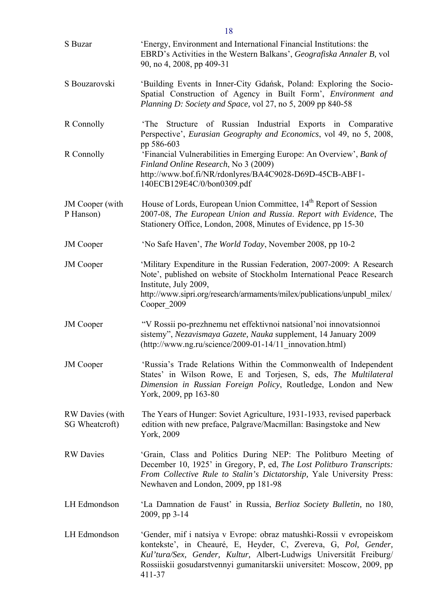| S Buzar                           | 'Energy, Environment and International Financial Institutions: the<br>EBRD's Activities in the Western Balkans', Geografiska Annaler B, vol<br>90, no 4, 2008, pp 409-31                                                                                                                         |
|-----------------------------------|--------------------------------------------------------------------------------------------------------------------------------------------------------------------------------------------------------------------------------------------------------------------------------------------------|
| S Bouzarovski                     | 'Building Events in Inner-City Gdańsk, Poland: Exploring the Socio-<br>Spatial Construction of Agency in Built Form', Environment and<br>Planning D: Society and Space, vol 27, no 5, 2009 pp 840-58                                                                                             |
| R Connolly                        | Structure of Russian Industrial Exports in Comparative<br>'The<br>Perspective', Eurasian Geography and Economics, vol 49, no 5, 2008,                                                                                                                                                            |
| R Connolly                        | pp 586-603<br>'Financial Vulnerabilities in Emerging Europe: An Overview', Bank of<br>Finland Online Research, No 3 (2009)<br>http://www.bof.fi/NR/rdonlyres/BA4C9028-D69D-45CB-ABF1-<br>140ECB129E4C/0/bon0309.pdf                                                                              |
| JM Cooper (with<br>P Hanson)      | House of Lords, European Union Committee, 14 <sup>th</sup> Report of Session<br>2007-08, The European Union and Russia. Report with Evidence, The<br>Stationery Office, London, 2008, Minutes of Evidence, pp 15-30                                                                              |
| <b>JM</b> Cooper                  | 'No Safe Haven', <i>The World Today</i> , November 2008, pp 10-2                                                                                                                                                                                                                                 |
| <b>JM</b> Cooper                  | 'Military Expenditure in the Russian Federation, 2007-2009: A Research<br>Note', published on website of Stockholm International Peace Research<br>Institute, July 2009,<br>http://www.sipri.org/research/armaments/milex/publications/unpubl_milex/<br>Cooper 2009                              |
| <b>JM</b> Cooper                  | "V Rossii po-prezhnemu net effektivnoi natsional'noi innovatsionnoi<br>sistemy", Nezavismaya Gazete, Nauka supplement, 14 January 2009<br>(http://www.ng.ru/science/2009-01-14/11 innovation.html)                                                                                               |
| <b>JM</b> Cooper                  | 'Russia's Trade Relations Within the Commonwealth of Independent<br>States' in Wilson Rowe, E and Torjesen, S, eds, The Multilateral<br>Dimension in Russian Foreign Policy, Routledge, London and New<br>York, 2009, pp 163-80                                                                  |
| RW Davies (with<br>SG Wheatcroft) | The Years of Hunger: Soviet Agriculture, 1931-1933, revised paperback<br>edition with new preface, Palgrave/Macmillan: Basingstoke and New<br>York, 2009                                                                                                                                         |
| <b>RW</b> Davies                  | 'Grain, Class and Politics During NEP: The Politburo Meeting of<br>December 10, 1925' in Gregory, P, ed, The Lost Politburo Transcripts:<br>From Collective Rule to Stalin's Dictatorship, Yale University Press:<br>Newhaven and London, 2009, pp 181-98                                        |
| LH Edmondson                      | 'La Damnation de Faust' in Russia, Berlioz Society Bulletin, no 180,<br>2009, pp 3-14                                                                                                                                                                                                            |
| LH Edmondson                      | 'Gender, mif i natsiya v Evrope: obraz matushki-Rossii v evropeiskom<br>kontekste', in Cheauré, E, Heyder, C, Zvereva, G, Pol, Gender,<br>Kul'tura/Sex, Gender, Kultur, Albert-Ludwigs Universität Freiburg/<br>Rossiiskii gosudarstvennyi gumanitarskii universitet: Moscow, 2009, pp<br>411-37 |

18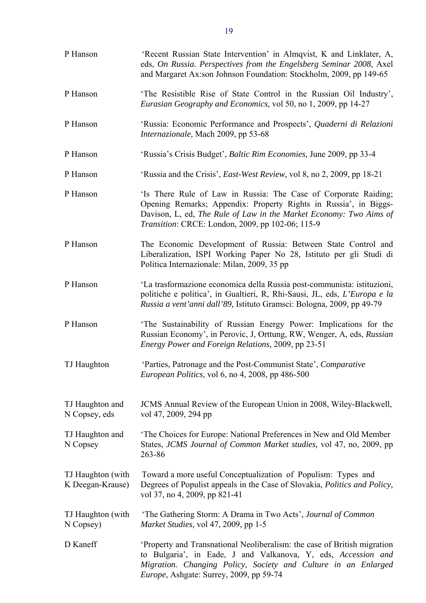| P Hanson                              | 'Recent Russian State Intervention' in Almqvist, K and Linklater, A,<br>eds, On Russia. Perspectives from the Engelsberg Seminar 2008, Axel<br>and Margaret Ax:son Johnson Foundation: Stockholm, 2009, pp 149-65                                             |
|---------------------------------------|---------------------------------------------------------------------------------------------------------------------------------------------------------------------------------------------------------------------------------------------------------------|
| P Hanson                              | 'The Resistible Rise of State Control in the Russian Oil Industry',<br>Eurasian Geography and Economics, vol 50, no 1, 2009, pp 14-27                                                                                                                         |
| P Hanson                              | 'Russia: Economic Performance and Prospects', Quaderni di Relazioni<br>Internazionale, Mach 2009, pp 53-68                                                                                                                                                    |
| P Hanson                              | 'Russia's Crisis Budget', <i>Baltic Rim Economies</i> , June 2009, pp 33-4                                                                                                                                                                                    |
| P Hanson                              | 'Russia and the Crisis', <i>East-West Review</i> , vol 8, no 2, 2009, pp 18-21                                                                                                                                                                                |
| P Hanson                              | 'Is There Rule of Law in Russia: The Case of Corporate Raiding;<br>Opening Remarks; Appendix: Property Rights in Russia', in Biggs-<br>Davison, L, ed, The Rule of Law in the Market Economy: Two Aims of<br>Transition: CRCE: London, 2009, pp 102-06; 115-9 |
| P Hanson                              | The Economic Development of Russia: Between State Control and<br>Liberalization, ISPI Working Paper No 28, Istituto per gli Studi di<br>Politica Internazionale: Milan, 2009, 35 pp                                                                           |
| P Hanson                              | 'La trasformazione economica della Russia post-communista: istituzioni,<br>politiche e politica', in Gualtieri, R, Rhi-Sausi, JL, eds, L'Europa e la<br>Russia a vent'anni dall'89, Istituto Gramsci: Bologna, 2009, pp 49-79                                 |
| P Hanson                              | 'The Sustainability of Russian Energy Power: Implications for the<br>Russian Economy', in Perovic, J, Orttung, RW, Wenger, A, eds, Russian<br>Energy Power and Foreign Relations, 2009, pp 23-51                                                              |
| TJ Haughton                           | 'Parties, Patronage and the Post-Communist State', Comparative<br><i>European Politics</i> , vol 6, no 4, 2008, pp 486-500                                                                                                                                    |
| TJ Haughton and<br>N Copsey, eds      | JCMS Annual Review of the European Union in 2008, Wiley-Blackwell,<br>vol 47, 2009, 294 pp                                                                                                                                                                    |
| TJ Haughton and<br>N Copsey           | The Choices for Europe: National Preferences in New and Old Member<br>States, JCMS Journal of Common Market studies, vol 47, no, 2009, pp<br>263-86                                                                                                           |
| TJ Haughton (with<br>K Deegan-Krause) | Toward a more useful Conceptualization of Populism: Types and<br>Degrees of Populist appeals in the Case of Slovakia, Politics and Policy,<br>vol 37, no 4, 2009, pp 821-41                                                                                   |
| TJ Haughton (with<br>N Copsey)        | 'The Gathering Storm: A Drama in Two Acts', Journal of Common<br>Market Studies, vol 47, 2009, pp 1-5                                                                                                                                                         |
| D Kaneff                              | Property and Transnational Neoliberalism: the case of British migration<br>to Bulgaria', in Eade, J and Valkanova, Y, eds, Accession and<br>Migration. Changing Policy, Society and Culture in an Enlarged<br><i>Europe</i> , Ashgate: Surrey, 2009, pp 59-74 |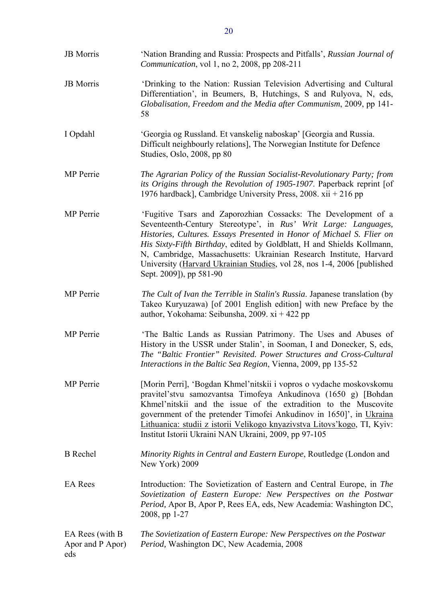| <b>JB</b> Morris                           | 'Nation Branding and Russia: Prospects and Pitfalls', Russian Journal of<br>Communication, vol 1, no 2, 2008, pp 208-211                                                                                                                                                                                                                                                                                                                                         |
|--------------------------------------------|------------------------------------------------------------------------------------------------------------------------------------------------------------------------------------------------------------------------------------------------------------------------------------------------------------------------------------------------------------------------------------------------------------------------------------------------------------------|
| <b>JB</b> Morris                           | 'Drinking to the Nation: Russian Television Advertising and Cultural<br>Differentiation', in Beumers, B, Hutchings, S and Rulyova, N, eds,<br>Globalisation, Freedom and the Media after Communism, 2009, pp 141-<br>58                                                                                                                                                                                                                                          |
| I Opdahl                                   | 'Georgia og Russland. Et vanskelig naboskap' [Georgia and Russia.<br>Difficult neighbourly relations], The Norwegian Institute for Defence<br>Studies, Oslo, 2008, pp 80                                                                                                                                                                                                                                                                                         |
| <b>MP</b> Perrie                           | The Agrarian Policy of the Russian Socialist-Revolutionary Party; from<br>its Origins through the Revolution of 1905-1907. Paperback reprint [of<br>1976 hardback], Cambridge University Press, 2008. xii + 216 pp                                                                                                                                                                                                                                               |
| MP Perrie                                  | 'Fugitive Tsars and Zaporozhian Cossacks: The Development of a<br>Seventeenth-Century Stereotype', in Rus' Writ Large: Languages,<br>Histories, Cultures. Essays Presented in Honor of Michael S. Flier on<br>His Sixty-Fifth Birthday, edited by Goldblatt, H and Shields Kollmann,<br>N, Cambridge, Massachusetts: Ukrainian Research Institute, Harvard<br>University (Harvard Ukrainian Studies, vol 28, nos 1-4, 2006 [published<br>Sept. 2009]), pp 581-90 |
| MP Perrie                                  | The Cult of Ivan the Terrible in Stalin's Russia. Japanese translation (by<br>Takeo Kuryuzawa) [of 2001 English edition] with new Preface by the<br>author, Yokohama: Seibunsha, 2009. xi + 422 pp                                                                                                                                                                                                                                                               |
| MP Perrie                                  | 'The Baltic Lands as Russian Patrimony. The Uses and Abuses of<br>History in the USSR under Stalin', in Sooman, I and Donecker, S, eds,<br>The "Baltic Frontier" Revisited. Power Structures and Cross-Cultural<br>Interactions in the Baltic Sea Region, Vienna, 2009, pp 135-52                                                                                                                                                                                |
| <b>MP</b> Perrie                           | [Morin Perri], 'Bogdan Khmel'nitskii i vopros o vydache moskovskomu<br>praviteľstvu samozvantsa Timofeya Ankudinova (1650 g) [Bohdan]<br>Khmel'nitskii and the issue of the extradition to the Muscovite<br>government of the pretender Timofei Ankudinov in 1650]', in Ukraina<br>Lithuanica: studii z istorii Velikogo knyazivstva Litovs' kogo, TI, Kyiv:<br>Institut Istorii Ukraini NAN Ukraini, 2009, pp 97-105                                            |
| <b>B</b> Rechel                            | Minority Rights in Central and Eastern Europe, Routledge (London and<br>New York) 2009                                                                                                                                                                                                                                                                                                                                                                           |
| <b>EA</b> Rees                             | Introduction: The Sovietization of Eastern and Central Europe, in The<br>Sovietization of Eastern Europe: New Perspectives on the Postwar<br>Period, Apor B, Apor P, Rees EA, eds, New Academia: Washington DC,<br>2008, pp 1-27                                                                                                                                                                                                                                 |
| EA Rees (with B<br>Apor and P Apor)<br>eds | The Sovietization of Eastern Europe: New Perspectives on the Postwar<br>Period, Washington DC, New Academia, 2008                                                                                                                                                                                                                                                                                                                                                |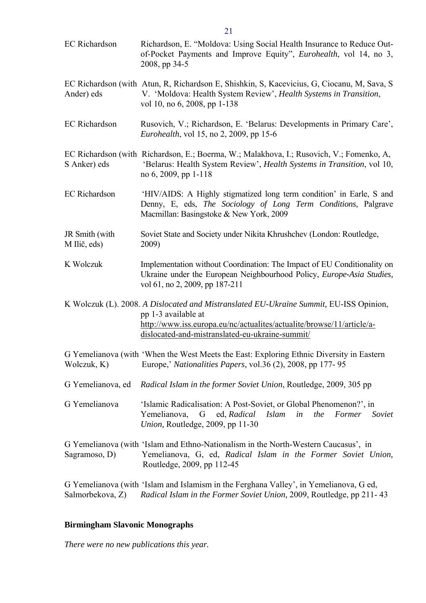<span id="page-20-0"></span>EC Richardson Richardson, E. "Moldova: Using Social Health Insurance to Reduce Outof-Pocket Payments and Improve Equity", *Eurohealth*, vol 14, no 3, 2008, pp 34-5 EC Richardson (with Atun, R, Richardson E, Shishkin, S, Kacevicius, G, Ciocanu, M, Sava, S Ander) eds V. 'Moldova: Health System Review', *Health Systems in Transition*, vol 10, no 6, 2008, pp 1-138 EC Richardson Rusovich, V.; Richardson, E. 'Belarus: Developments in Primary Care', *Eurohealth*, vol 15, no 2, 2009, pp 15-6 EC Richardson (with Richardson, E.; Boerma, W.; Malakhova, I.; Rusovich, V.; Fomenko, A, S Anker) eds 'Belarus: Health System Review', *Health Systems in Transition*, vol 10, no 6, 2009, pp 1-118 EC Richardson 'HIV/AIDS: A Highly stigmatized long term condition' in Earle, S and Denny, E, eds, *The Sociology of Long Term Conditions,* Palgrave Macmillan: Basingstoke & New York, 2009 JR Smith (with Soviet State and Society under Nikita Khrushchev (London: Routledge, M Ilič, eds) 2009) K Wolczuk Implementation without Coordination: The Impact of EU Conditionality on Ukraine under the European Neighbourhood Policy, *Europe-Asia Studies,*  vol 61, no 2, 2009, pp 187-211 K Wolczuk (L). 2008. *A Dislocated and Mistranslated EU-Ukraine Summit,* EU-ISS Opinion, pp 1-3 available at [http://www.iss.europa.eu/nc/actualites/actualite/browse/11/article/a](http://www.iss.europa.eu/nc/actualites/actualite/browse/11/article/a-dislocated-and-mistranslated-eu-ukraine-summit/)[dislocated-and-mistranslated-eu-ukraine-summit/](http://www.iss.europa.eu/nc/actualites/actualite/browse/11/article/a-dislocated-and-mistranslated-eu-ukraine-summit/) G Yemelianova (with 'When the West Meets the East: Exploring Ethnic Diversity in Eastern Wolczuk, K) Europe,' *Nationalities Papers,* vol.36 (2), 2008, pp 177- 95 G Yemelianova, ed *Radical Islam in the former Soviet Union*, Routledge, 2009, 305 pp G Yemelianova 'Islamic Radicalisation: A Post-Soviet, or Global Phenomenon?', in Yemelianova, G ed, *Radical Islam in the Former Soviet Union,* Routledge, 2009, pp 11-30 G Yemelianova (with 'Islam and Ethno-Nationalism in the North-Western Caucasus', in Sagramoso, D) Yemelianova, G, ed, *Radical Islam in the Former Soviet Union,* Routledge, 2009, pp 112-45 G Yemelianova (with 'Islam and Islamism in the Ferghana Valley', in Yemelianova, G ed, Salmorbekova, Z) *Radical Islam in the Former Soviet Union,* 2009, Routledge, pp 211- 43

### **Birmingham Slavonic Monographs**

*There were no new publications this year.* 

21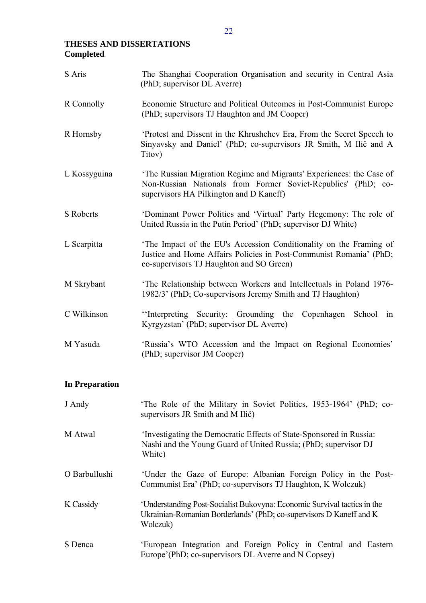# <span id="page-21-0"></span>**THESES AND DISSERTATIONS Completed**

| S Aris           | The Shanghai Cooperation Organisation and security in Central Asia<br>(PhD; supervisor DL Averre)                                                                                    |
|------------------|--------------------------------------------------------------------------------------------------------------------------------------------------------------------------------------|
| R Connolly       | Economic Structure and Political Outcomes in Post-Communist Europe<br>(PhD; supervisors TJ Haughton and JM Cooper)                                                                   |
| R Hornsby        | Protest and Dissent in the Khrushchev Era, From the Secret Speech to<br>Sinyavsky and Daniel' (PhD; co-supervisors JR Smith, M Ilič and A<br>Titov)                                  |
| L Kossyguina     | 'The Russian Migration Regime and Migrants' Experiences: the Case of<br>Non-Russian Nationals from Former Soviet-Republics' (PhD; co-<br>supervisors HA Pilkington and D Kaneff)     |
| <b>S</b> Roberts | 'Dominant Power Politics and 'Virtual' Party Hegemony: The role of<br>United Russia in the Putin Period' (PhD; supervisor DJ White)                                                  |
| L Scarpitta      | 'The Impact of the EU's Accession Conditionality on the Framing of<br>Justice and Home Affairs Policies in Post-Communist Romania' (PhD;<br>co-supervisors TJ Haughton and SO Green) |
| M Skrybant       | 'The Relationship between Workers and Intellectuals in Poland 1976-<br>1982/3' (PhD; Co-supervisors Jeremy Smith and TJ Haughton)                                                    |
| C Wilkinson      | "Interpreting Security: Grounding the<br>Copenhagen School<br>in<br>Kyrgyzstan' (PhD; supervisor DL Averre)                                                                          |
| M Yasuda         | 'Russia's WTO Accession and the Impact on Regional Economies'<br>(PhD; supervisor JM Cooper)                                                                                         |
|                  |                                                                                                                                                                                      |

# **In Preparation**

| J Andy        | The Role of the Military in Soviet Politics, 1953-1964' (PhD; co-<br>supervisors JR Smith and M Ilič)                                                       |
|---------------|-------------------------------------------------------------------------------------------------------------------------------------------------------------|
| M Atwal       | 'Investigating the Democratic Effects of State-Sponsored in Russia:<br>Nashi and the Young Guard of United Russia; (PhD; supervisor DJ<br>White)            |
| O Barbullushi | 'Under the Gaze of Europe: Albanian Foreign Policy in the Post-<br>Communist Era' (PhD; co-supervisors TJ Haughton, K Wolczuk)                              |
| K Cassidy     | 'Understanding Post-Socialist Bukovyna: Economic Survival tactics in the<br>Ukrainian-Romanian Borderlands' (PhD; co-supervisors D Kaneff and K<br>Wolczuk) |
| S Denca       | 'European Integration and Foreign Policy in Central and Eastern<br>Europe'(PhD; co-supervisors DL Averre and N Copsey)                                      |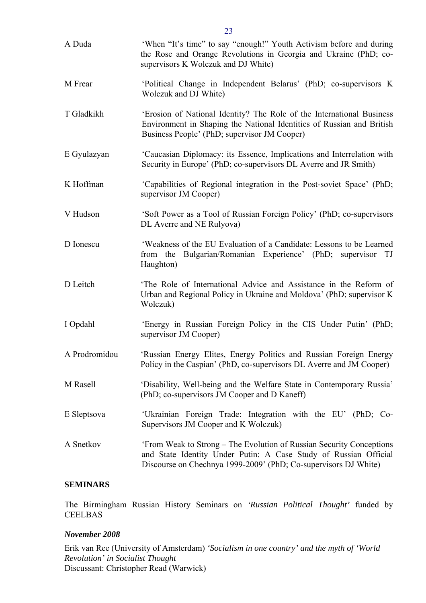<span id="page-22-0"></span>

| A Duda        | 'When "It's time" to say "enough!" Youth Activism before and during<br>the Rose and Orange Revolutions in Georgia and Ukraine (PhD; co-<br>supervisors K Wolczuk and DJ White)                              |
|---------------|-------------------------------------------------------------------------------------------------------------------------------------------------------------------------------------------------------------|
| M Frear       | 'Political Change in Independent Belarus' (PhD; co-supervisors K)<br>Wolczuk and DJ White)                                                                                                                  |
| T Gladkikh    | 'Erosion of National Identity? The Role of the International Business<br>Environment in Shaping the National Identities of Russian and British<br>Business People' (PhD; supervisor JM Cooper)              |
| E Gyulazyan   | 'Caucasian Diplomacy: its Essence, Implications and Interrelation with<br>Security in Europe' (PhD; co-supervisors DL Averre and JR Smith)                                                                  |
| K Hoffman     | 'Capabilities of Regional integration in the Post-soviet Space' (PhD;<br>supervisor JM Cooper)                                                                                                              |
| V Hudson      | 'Soft Power as a Tool of Russian Foreign Policy' (PhD; co-supervisors<br>DL Averre and NE Rulyova)                                                                                                          |
| D Ionescu     | 'Weakness of the EU Evaluation of a Candidate: Lessons to be Learned<br>from the Bulgarian/Romanian Experience' (PhD; supervisor<br>TJ<br>Haughton)                                                         |
| D Leitch      | 'The Role of International Advice and Assistance in the Reform of<br>Urban and Regional Policy in Ukraine and Moldova' (PhD; supervisor K)<br>Wolczuk)                                                      |
| I Opdahl      | 'Energy in Russian Foreign Policy in the CIS Under Putin' (PhD;<br>supervisor JM Cooper)                                                                                                                    |
| A Prodromidou | 'Russian Energy Elites, Energy Politics and Russian Foreign Energy<br>Policy in the Caspian' (PhD, co-supervisors DL Averre and JM Cooper)                                                                  |
| M Rasell      | 'Disability, Well-being and the Welfare State in Contemporary Russia'<br>(PhD; co-supervisors JM Cooper and D Kaneff)                                                                                       |
| E Sleptsova   | 'Ukrainian Foreign Trade: Integration with the EU' (PhD; Co-<br>Supervisors JM Cooper and K Wolczuk)                                                                                                        |
| A Snetkov     | 'From Weak to Strong – The Evolution of Russian Security Conceptions<br>and State Identity Under Putin: A Case Study of Russian Official<br>Discourse on Chechnya 1999-2009' (PhD; Co-supervisors DJ White) |

### **SEMINARS**

The Birmingham Russian History Seminars on *'Russian Political Thought'* funded by **CEELBAS** 

### *November 2008*

Erik van Ree (University of Amsterdam) *'Socialism in one country' and the myth of 'World Revolution' in Socialist Thought*  Discussant: Christopher Read (Warwick)

23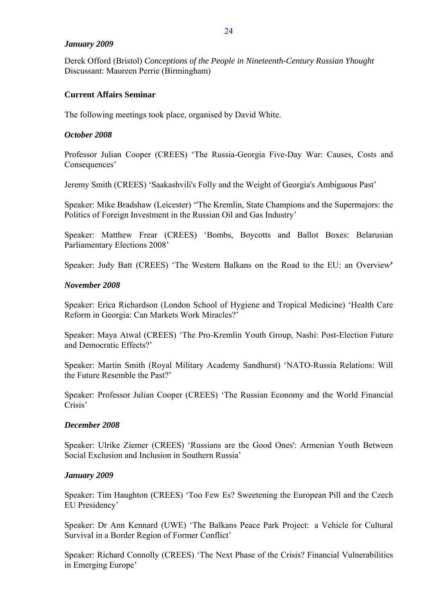### <span id="page-23-0"></span>*January 2009*

Derek Offord (Bristol) *Conceptions of the People in Nineteenth-Century Russian Yhought*  Discussant: Maureen Perrie (Birmingham)

## **Current Affairs Seminar**

The following meetings took place, organised by David White.

## *October 2008*

Professor Julian Cooper (CREES) 'The Russia-Georgia Five-Day War: Causes, Costs and Consequences'

Jeremy Smith (CREES) 'Saakashvili's Folly and the Weight of Georgia's Ambiguous Past'

Speaker: Mike Bradshaw (Leicester) ''The Kremlin, State Champions and the Supermajors: the Politics of Foreign Investment in the Russian Oil and Gas Industry'

Speaker: Matthew Frear (CREES) 'Bombs, Boycotts and Ballot Boxes: Belarusian Parliamentary Elections 2008'

Speaker: Judy Batt (CREES) 'The Western Balkans on the Road to the EU: an Overview**'** 

### *November 2008*

Speaker: Erica Richardson (London School of Hygiene and Tropical Medicine) 'Health Care Reform in Georgia: Can Markets Work Miracles?'

Speaker: Maya Atwal (CREES) 'The Pro-Kremlin Youth Group, Nashi: Post-Election Future and Democratic Effects?'

Speaker: Martin Smith (Royal Military Academy Sandhurst) 'NATO-Russia Relations: Will the Future Resemble the Past?'

Speaker: Professor Julian Cooper (CREES) 'The Russian Economy and the World Financial Crisis'

## *December 2008*

Speaker: Ulrike Ziemer (CREES) 'Russians are the Good Ones': Armenian Youth Between Social Exclusion and Inclusion in Southern Russia'

## *January 2009*

Speaker: Tim Haughton (CREES) 'Too Few Es? Sweetening the European Pill and the Czech EU Presidency'

Speaker: Dr Ann Kennard (UWE) 'The Balkans Peace Park Project: a Vehicle for Cultural Survival in a Border Region of Former Conflict'

Speaker: Richard Connolly (CREES) 'The Next Phase of the Crisis? Financial Vulnerabilities in Emerging Europe'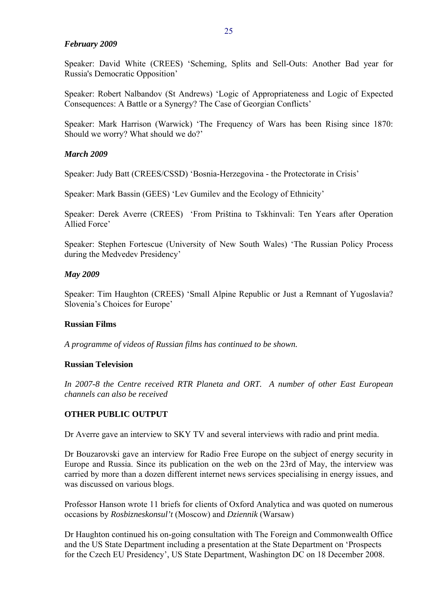#### <span id="page-24-0"></span>*February 2009*

Speaker: David White (CREES) 'Scheming, Splits and Sell-Outs: Another Bad year for Russia's Democratic Opposition'

Speaker: Robert Nalbandov (St Andrews) 'Logic of Appropriateness and Logic of Expected Consequences: A Battle or a Synergy? The Case of Georgian Conflicts'

Speaker: Mark Harrison (Warwick) 'The Frequency of Wars has been Rising since 1870: Should we worry? What should we do?'

### *March 2009*

Speaker: Judy Batt (CREES/CSSD) 'Bosnia-Herzegovina - the Protectorate in Crisis'

Speaker: Mark Bassin (GEES) 'Lev Gumilev and the Ecology of Ethnicity'

Speaker: Derek Averre (CREES) 'From Priština to Tskhinvali: Ten Years after Operation Allied Force'

Speaker: Stephen Fortescue (University of New South Wales) 'The Russian Policy Process during the Medvedev Presidency'

#### *May 2009*

Speaker: Tim Haughton (CREES) 'Small Alpine Republic or Just a Remnant of Yugoslavia? Slovenia's Choices for Europe'

### **Russian Films**

*A programme of videos of Russian films has continued to be shown.* 

### **Russian Television**

*In 2007-8 the Centre received RTR Planeta and ORT. A number of other East European channels can also be received* 

### **OTHER PUBLIC OUTPUT**

Dr Averre gave an interview to SKY TV and several interviews with radio and print media.

Dr Bouzarovski gave an interview for Radio Free Europe on the subject of energy security in Europe and Russia. Since its publication on the web on the 23rd of May, the interview was carried by more than a dozen different internet news services specialising in energy issues, and was discussed on various blogs.

Professor Hanson wrote 11 briefs for clients of Oxford Analytica and was quoted on numerous occasions by *Rosbizneskonsul't* (Moscow) and *Dziennik* (Warsaw)

Dr Haughton continued his on-going consultation with The Foreign and Commonwealth Office and the US State Department including a presentation at the State Department on 'Prospects for the Czech EU Presidency', US State Department, Washington DC on 18 December 2008.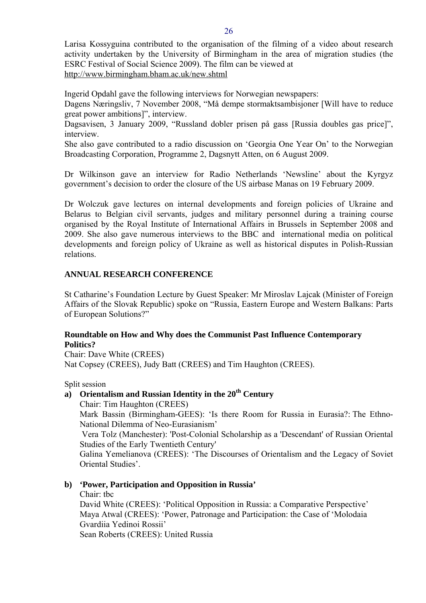<span id="page-25-0"></span>Larisa Kossyguina contributed to the organisation of the filming of a video about research activity undertaken by the University of Birmingham in the area of migration studies (the ESRC Festival of Social Science 2009). The film can be viewed at <http://www.birmingham.bham.ac.uk/new.shtml>

Ingerid Opdahl gave the following interviews for Norwegian newspapers:

Dagens Næringsliv, 7 November 2008, "Må dempe stormaktsambisjoner [Will have to reduce great power ambitions]", interview.

Dagsavisen, 3 January 2009, "Russland dobler prisen på gass [Russia doubles gas price]", interview.

She also gave contributed to a radio discussion on 'Georgia One Year On' to the Norwegian Broadcasting Corporation, Programme 2, Dagsnytt Atten, on 6 August 2009.

Dr Wilkinson gave an interview for Radio Netherlands 'Newsline' about the Kyrgyz government's decision to order the closure of the US airbase Manas on 19 February 2009.

Dr Wolczuk gave lectures on internal developments and foreign policies of Ukraine and Belarus to Belgian civil servants, judges and military personnel during a training course organised by the Royal Institute of International Affairs in Brussels in September 2008 and 2009. She also gave numerous interviews to the BBC and international media on political developments and foreign policy of Ukraine as well as historical disputes in Polish-Russian relations.

# **ANNUAL RESEARCH CONFERENCE**

St Catharine's Foundation Lecture by Guest Speaker: Mr Miroslav Lajcak (Minister of Foreign Affairs of the Slovak Republic) spoke on "Russia, Eastern Europe and Western Balkans: Parts of European Solutions?"

# **Roundtable on How and Why does the Communist Past Influence Contemporary Politics?**

Chair: Dave White (CREES) Nat Copsey (CREES), Judy Batt (CREES) and Tim Haughton (CREES).

Split session

# **a) Orientalism and Russian Identity in the 20th Century**

Chair: Tim Haughton (CREES)

Mark Bassin (Birmingham-GEES): 'Is there Room for Russia in Eurasia?: The Ethno-National Dilemma of Neo-Eurasianism'

 Vera Tolz (Manchester): 'Post-Colonial Scholarship as a 'Descendant' of Russian Oriental Studies of the Early Twentieth Century'

Galina Yemelianova (CREES): 'The Discourses of Orientalism and the Legacy of Soviet Oriental Studies'.

## **b) 'Power, Participation and Opposition in Russia'**

Chair: tbc

David White (CREES): 'Political Opposition in Russia: a Comparative Perspective' Maya Atwal (CREES): 'Power, Patronage and Participation: the Case of 'Molodaia Gvardiia Yedinoi Rossii' Sean Roberts (CREES): United Russia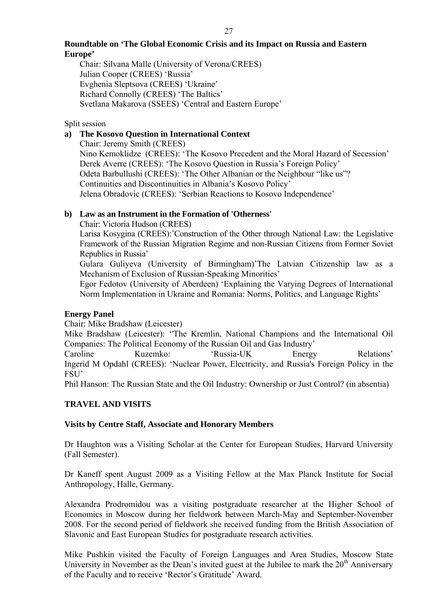### <span id="page-26-0"></span>**Roundtable on 'The Global Economic Crisis and its Impact on Russia and Eastern Europe'**

Chair: Silvana Malle (University of Verona/CREES) Julian Cooper (CREES) 'Russia' Evghenia Sleptsova (CREES) 'Ukraine' Richard Connolly (CREES) 'The Baltics' Svetlana Makarova (SSEES) 'Central and Eastern Europe'

## Split session

# **a) The Kosovo Question in International Context**

Chair: Jeremy Smith (CREES) Nino Kemoklidze (CREES): 'The Kosovo Precedent and the Moral Hazard of Secession' Derek Averre (CREES): 'The Kosovo Question in Russia's Foreign Policy' Odeta Barbullushi (CREES): 'The Other Albanian or the Neighbour "like us"? Continuities and Discontinuities in Albania's Kosovo Policy' Jelena Obradovic (CREES): 'Serbian Reactions to Kosovo Independence'

## **b) Law as an Instrument in the Formation of 'Otherness'**

Chair: Victoria Hudson (CREES)

Larisa Kosygina (CREES):'Construction of the Other through National Law: the Legislative Framework of the Russian Migration Regime and non-Russian Citizens from Former Soviet Republics in Russia'

Gulara Guliyeva (University of Birmingham)'The Latvian Citizenship law as a Mechanism of Exclusion of Russian-Speaking Minorities'

Egor Fedotov (University of Aberdeen) 'Explaining the Varying Degrees of International Norm Implementation in Ukraine and Romania: Norms, Politics, and Language Rights'

## **Energy Panel**

Chair: Mike Bradshaw (Leicester)

Mike Bradshaw (Leicester): ''The Kremlin, National Champions and the International Oil Companies: The Political Economy of the Russian Oil and Gas Industry'

Caroline Kuzemko: 'Russia-UK Energy Relations' Ingerid M Opdahl (CREES): 'Nuclear Power, Electricity, and Russia's Foreign Policy in the FSU'

Phil Hanson: The Russian State and the Oil Industry: Ownership or Just Control? (in absentia)

## **TRAVEL AND VISITS**

## **Visits by Centre Staff, Associate and Honorary Members**

Dr Haughton was a Visiting Scholar at the Center for European Studies, Harvard University (Fall Semester).

Dr Kaneff spent August 2009 as a Visiting Fellow at the Max Planck Institute for Social Anthropology, Halle, Germany.

Alexandra Prodromidou was a visiting postgraduate researcher at the Higher School of Economics in Moscow during her fieldwork between March-May and September-November 2008. For the second period of fieldwork she received funding from the British Association of Slavonic and East European Studies for postgraduate research activities.

Mike Pushkin visited the Faculty of Foreign Languages and Area Studies, Moscow State University in November as the Dean's invited guest at the Jubilee to mark the  $20<sup>th</sup>$  Anniversary of the Faculty and to receive 'Rector's Gratitude' Award.